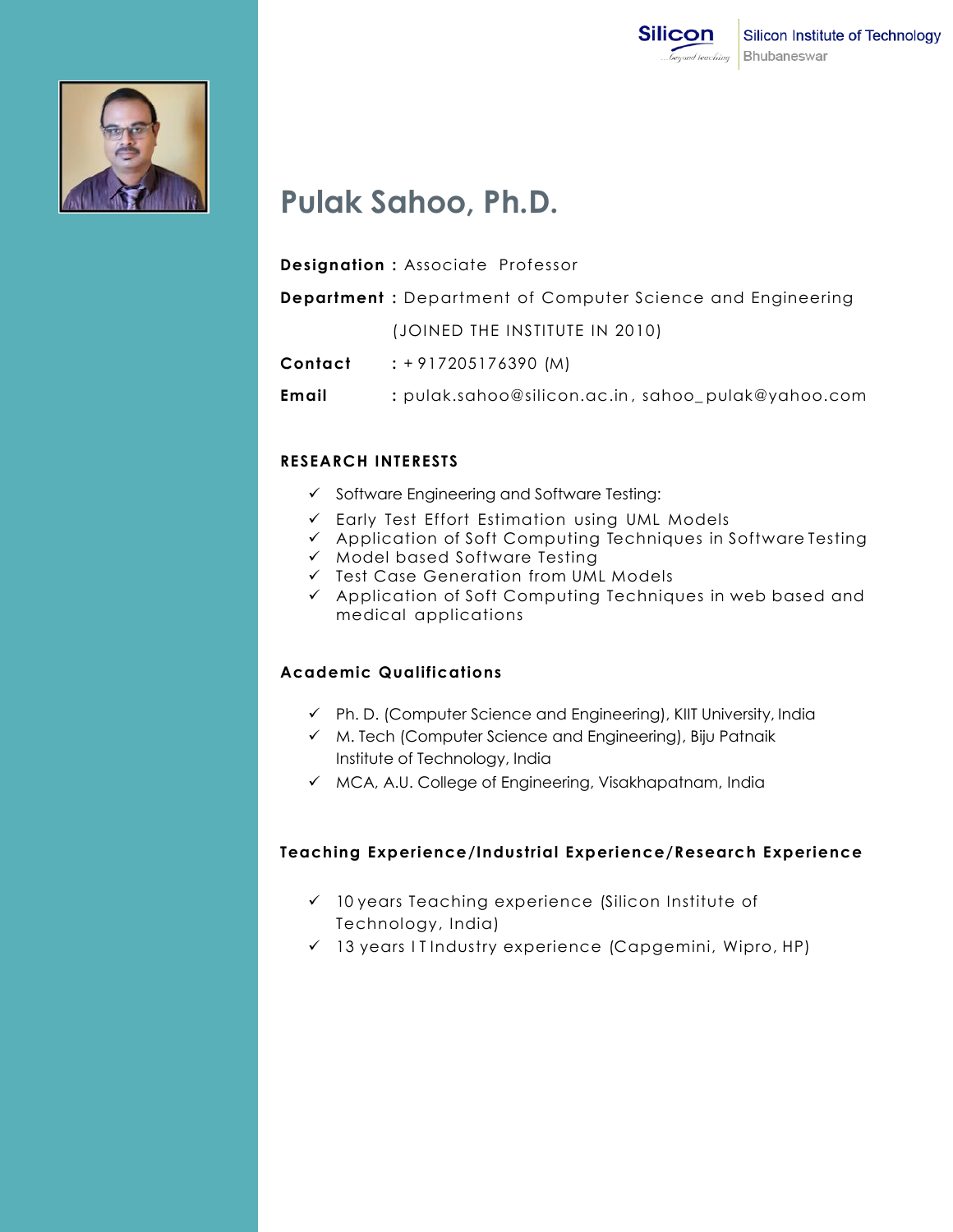



# **Pulak Sahoo, Ph.D.**

**Designation :** Associate Professor

**Department :** Department of Computer Science and Engineering

(JOINED THE INSTITUTE IN 2010)

**Contact :** + 917205176390 (M)

**Email** : pulak.sahoo@silicon.ac.in, sahoo\_pulak@yahoo.com

## **RESEARCH INTERESTS**

- $\checkmark$  Software Engineering and Software Testing:
- $\checkmark$  Early Test Effort Estimation using UML Models
- $\checkmark$  Application of Soft Computing Techniques in Software Testing
- $\times$  Model based Software Testing
- $\checkmark$  Test Case Generation from UML Models
- $\checkmark$  Application of Soft Computing Techniques in web based and medical applications

## **Academic Qualifications**

- Ph. D. (Computer Science and Engineering), KIIT University, India
- $\checkmark$  M. Tech (Computer Science and Engineering), Biju Patnaik Institute of Technology, India
- $\checkmark$  MCA, A.U. College of Engineering, Visakhapatnam, India

### **Teaching Experience/Industrial Experience/Research Experience**

- $\checkmark$  10 years Teaching experience (Silicon Institute of Technology, India)
- $\checkmark$  13 years I T Industry experience (Capgemini, Wipro, HP)